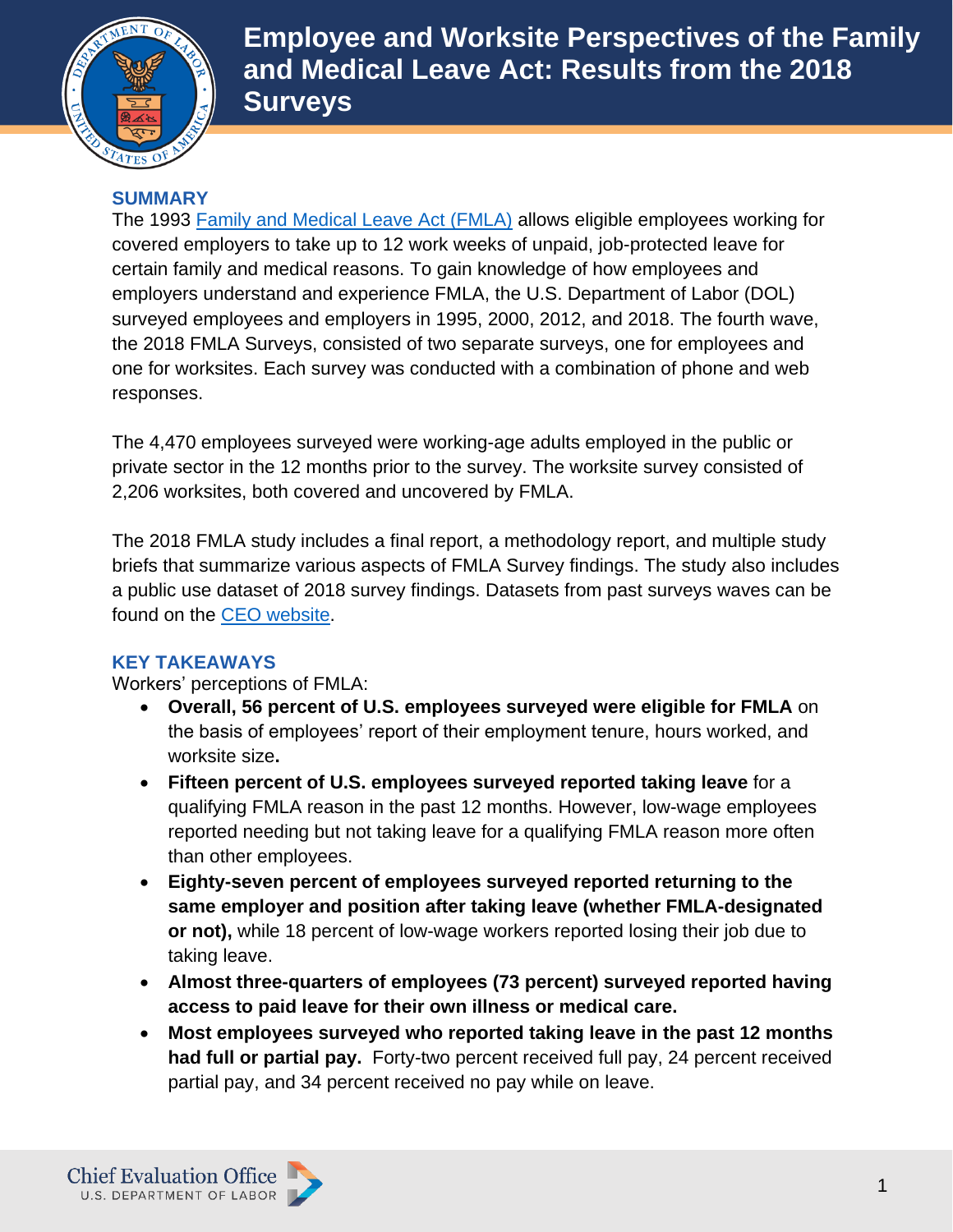

**Employee and Worksite Perspectives of the Family and Medical Leave Act: Results from the 2018 Surveys** 

## **SUMMARY**

The 1993 [Family and Medical Leave Act \(FMLA\)](https://www.dol.gov/agencies/whd/fmla) allows eligible employees working for covered employers to take up to 12 work weeks of unpaid, job-protected leave for certain family and medical reasons. To gain knowledge of how employees and employers understand and experience FMLA, the U.S. Department of Labor (DOL) surveyed employees and employers in 1995, 2000, 2012, and 2018. The fourth wave, the 2018 FMLA Surveys, consisted of two separate surveys, one for employees and one for worksites. Each survey was conducted with a combination of phone and web responses.

The 4,470 employees surveyed were working-age adults employed in the public or private sector in the 12 months prior to the survey. The worksite survey consisted of 2,206 worksites, both covered and uncovered by FMLA.

The 2018 FMLA study includes a final report, a methodology report, and multiple study briefs that summarize various aspects of FMLA Survey findings. The study also includes a public use dataset of 2018 survey findings. Datasets from past surveys waves can be found on the [CEO website.](https://www.dol.gov/agencies/oasp/evaluation/publicusedata)

## **KEY TAKEAWAYS**

Workers' perceptions of FMLA:

- **Overall, 56 percent of U.S. employees surveyed were eligible for FMLA** on the basis of employees' report of their employment tenure, hours worked, and worksite size**.**
- **Fifteen percent of U.S. employees surveyed reported taking leave** for a qualifying FMLA reason in the past 12 months. However, low-wage employees reported needing but not taking leave for a qualifying FMLA reason more often than other employees.
- **Eighty-seven percent of employees surveyed reported returning to the same employer and position after taking leave (whether FMLA-designated or not),** while 18 percent of low-wage workers reported losing their job due to taking leave.
- **Almost three-quarters of employees (73 percent) surveyed reported having access to paid leave for their own illness or medical care.**
- **Most employees surveyed who reported taking leave in the past 12 months had full or partial pay.** Forty-two percent received full pay, 24 percent received partial pay, and 34 percent received no pay while on leave.